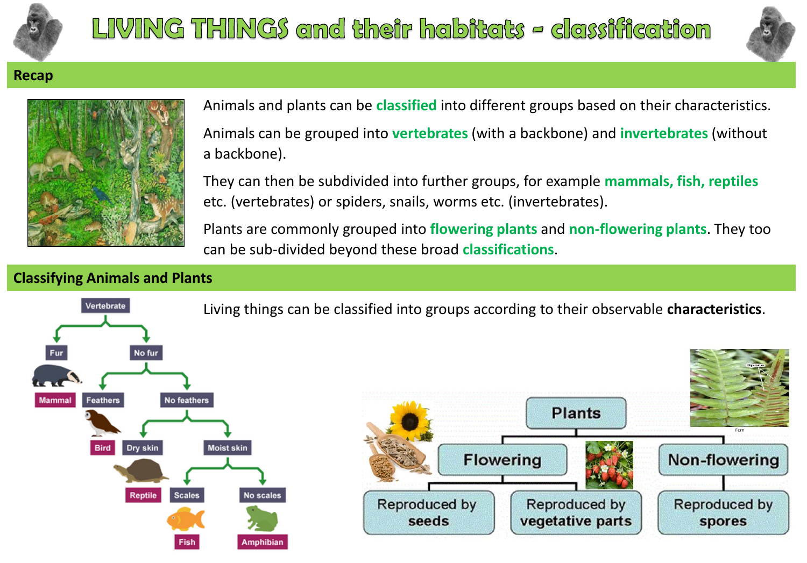



Non-flowering

Reproduced by

spores

## **Recap**



Animals and plants can be **classified** into different groups based on their characteristics. Animals can be grouped into **vertebrates** (with a backbone) and **invertebrates** (without a backbone).

They can then be subdivided into further groups, for example **mammals, fish, reptiles**  etc. (vertebrates) or spiders, snails, worms etc. (invertebrates).

Plants are commonly grouped into **flowering plants** and **non-flowering plants**. They too can be sub-divided beyond these broad **classifications**.

## **Classifying Animals and Plants**



Living things can be classified into groups according to their observable **characteristics**.

**Plants**